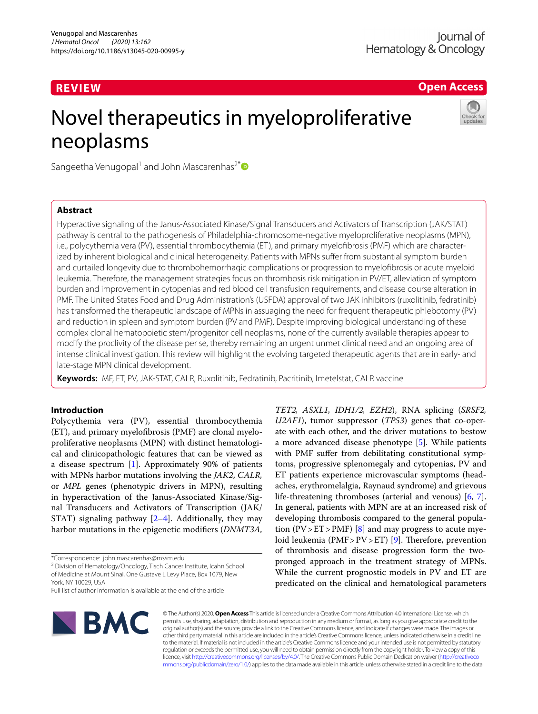# **REVIEW**

**Open Access**

# Novel therapeutics in myeloproliferative neoplasms



Sangeetha Venugopal<sup>1</sup> and John Mascarenhas<sup>2[\\*](http://orcid.org/0000-0002-8400-0483)</sup>

# **Abstract**

Hyperactive signaling of the Janus-Associated Kinase/Signal Transducers and Activators of Transcription (JAK/STAT) pathway is central to the pathogenesis of Philadelphia-chromosome-negative myeloproliferative neoplasms (MPN), i.e., polycythemia vera (PV), essential thrombocythemia (ET), and primary myelofbrosis (PMF) which are characterized by inherent biological and clinical heterogeneity. Patients with MPNs sufer from substantial symptom burden and curtailed longevity due to thrombohemorrhagic complications or progression to myelofbrosis or acute myeloid leukemia. Therefore, the management strategies focus on thrombosis risk mitigation in PV/ET, alleviation of symptom burden and improvement in cytopenias and red blood cell transfusion requirements, and disease course alteration in PMF. The United States Food and Drug Administration's (USFDA) approval of two JAK inhibitors (ruxolitinib, fedratinib) has transformed the therapeutic landscape of MPNs in assuaging the need for frequent therapeutic phlebotomy (PV) and reduction in spleen and symptom burden (PV and PMF). Despite improving biological understanding of these complex clonal hematopoietic stem/progenitor cell neoplasms, none of the currently available therapies appear to modify the proclivity of the disease per se, thereby remaining an urgent unmet clinical need and an ongoing area of intense clinical investigation. This review will highlight the evolving targeted therapeutic agents that are in early- and late-stage MPN clinical development.

**Keywords:** MF, ET, PV, JAK-STAT, CALR, Ruxolitinib, Fedratinib, Pacritinib, Imetelstat, CALR vaccine

# **Introduction**

Polycythemia vera (PV), essential thrombocythemia (ET), and primary myelofbrosis (PMF) are clonal myeloproliferative neoplasms (MPN) with distinct hematological and clinicopathologic features that can be viewed as a disease spectrum [\[1](#page-10-0)]. Approximately 90% of patients with MPNs harbor mutations involving the *JAK2*, *CALR,* or *MPL* genes (phenotypic drivers in MPN), resulting in hyperactivation of the Janus-Associated Kinase/Signal Transducers and Activators of Transcription (JAK/ STAT) signaling pathway  $[2-4]$  $[2-4]$ . Additionally, they may harbor mutations in the epigenetic modifers (*DNMT3A,* 

*TET2, ASXL1, IDH1/2, EZH2*), RNA splicing (*SRSF2, U2AF1*), tumor suppressor (*TP53*) genes that co-operate with each other, and the driver mutations to bestow a more advanced disease phenotype [\[5](#page-10-3)]. While patients with PMF suffer from debilitating constitutional symptoms, progressive splenomegaly and cytopenias, PV and ET patients experience microvascular symptoms (headaches, erythromelalgia, Raynaud syndrome) and grievous life-threatening thromboses (arterial and venous) [\[6](#page-10-4), [7](#page-10-5)]. In general, patients with MPN are at an increased risk of developing thrombosis compared to the general population ( $PV > ET > PMF$ ) [\[8](#page-10-6)] and may progress to acute myeloid leukemia ( $PMF > PV > ET$ ) [[9\]](#page-10-7). Therefore, prevention of thrombosis and disease progression form the twopronged approach in the treatment strategy of MPNs. While the current prognostic models in PV and ET are predicated on the clinical and hematological parameters



© The Author(s) 2020. **Open Access** This article is licensed under a Creative Commons Attribution 4.0 International License, which permits use, sharing, adaptation, distribution and reproduction in any medium or format, as long as you give appropriate credit to the original author(s) and the source, provide a link to the Creative Commons licence, and indicate if changes were made. The images or other third party material in this article are included in the article's Creative Commons licence, unless indicated otherwise in a credit line to the material. If material is not included in the article's Creative Commons licence and your intended use is not permitted by statutory regulation or exceeds the permitted use, you will need to obtain permission directly from the copyright holder. To view a copy of this licence, visit [http://creativecommons.org/licenses/by/4.0/.](http://creativecommons.org/licenses/by/4.0/) The Creative Commons Public Domain Dedication waiver ([http://creativeco](http://creativecommons.org/publicdomain/zero/1.0/) [mmons.org/publicdomain/zero/1.0/](http://creativecommons.org/publicdomain/zero/1.0/)) applies to the data made available in this article, unless otherwise stated in a credit line to the data.

<sup>\*</sup>Correspondence: john.mascarenhas@mssm.edu

<sup>&</sup>lt;sup>2</sup> Division of Hematology/Oncology, Tisch Cancer Institute, Icahn School of Medicine at Mount Sinai, One Gustave L Levy Place, Box 1079, New York, NY 10029, USA

Full list of author information is available at the end of the article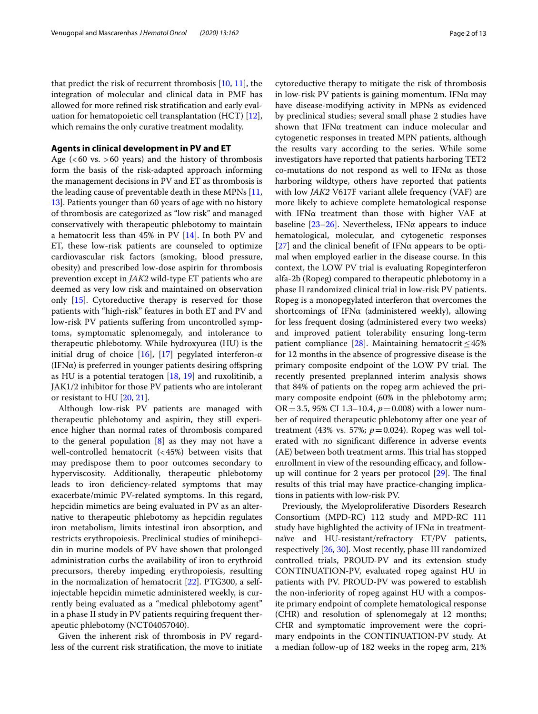that predict the risk of recurrent thrombosis [[10,](#page-10-8) [11](#page-10-9)], the integration of molecular and clinical data in PMF has allowed for more refned risk stratifcation and early evaluation for hematopoietic cell transplantation (HCT) [\[12](#page-10-10)], which remains the only curative treatment modality.

# **Agents in clinical development in PV and ET**

Age  $( $60 \text{ vs. } >60 \text{ years}$ )$  and the history of thrombosis form the basis of the risk-adapted approach informing the management decisions in PV and ET as thrombosis is the leading cause of preventable death in these MPNs [\[11](#page-10-9), [13\]](#page-10-11). Patients younger than 60 years of age with no history of thrombosis are categorized as "low risk" and managed conservatively with therapeutic phlebotomy to maintain a hematocrit less than 45% in PV [\[14](#page-10-12)]. In both PV and ET, these low-risk patients are counseled to optimize cardiovascular risk factors (smoking, blood pressure, obesity) and prescribed low-dose aspirin for thrombosis prevention except in *JAK2* wild-type ET patients who are deemed as very low risk and maintained on observation only [\[15](#page-10-13)]. Cytoreductive therapy is reserved for those patients with "high-risk" features in both ET and PV and low-risk PV patients suffering from uncontrolled symptoms, symptomatic splenomegaly, and intolerance to therapeutic phlebotomy. While hydroxyurea (HU) is the initial drug of choice [[16\]](#page-10-14), [[17\]](#page-10-15) pegylated interferon-α  $(IFN $\alpha$ )$  is preferred in younger patients desiring offspring as HU is a potential teratogen [[18,](#page-10-16) [19\]](#page-10-17) and ruxolitinib, a JAK1/2 inhibitor for those PV patients who are intolerant or resistant to HU [[20,](#page-10-18) [21](#page-10-19)].

Although low-risk PV patients are managed with therapeutic phlebotomy and aspirin, they still experience higher than normal rates of thrombosis compared to the general population [\[8](#page-10-6)] as they may not have a well-controlled hematocrit (<45%) between visits that may predispose them to poor outcomes secondary to hyperviscosity. Additionally, therapeutic phlebotomy leads to iron defciency-related symptoms that may exacerbate/mimic PV-related symptoms. In this regard, hepcidin mimetics are being evaluated in PV as an alternative to therapeutic phlebotomy as hepcidin regulates iron metabolism, limits intestinal iron absorption, and restricts erythropoiesis. Preclinical studies of minihepcidin in murine models of PV have shown that prolonged administration curbs the availability of iron to erythroid precursors, thereby impeding erythropoiesis, resulting in the normalization of hematocrit [[22\]](#page-10-20). PTG300, a selfinjectable hepcidin mimetic administered weekly, is currently being evaluated as a "medical phlebotomy agent" in a phase II study in PV patients requiring frequent therapeutic phlebotomy (NCT04057040).

Given the inherent risk of thrombosis in PV regardless of the current risk stratifcation, the move to initiate cytoreductive therapy to mitigate the risk of thrombosis in low-risk PV patients is gaining momentum. IFNα may have disease-modifying activity in MPNs as evidenced by preclinical studies; several small phase 2 studies have shown that IFNα treatment can induce molecular and cytogenetic responses in treated MPN patients, although the results vary according to the series. While some investigators have reported that patients harboring TET2 co-mutations do not respond as well to IFNα as those harboring wildtype, others have reported that patients with low *JAK2* V617F variant allele frequency (VAF) are more likely to achieve complete hematological response with IFNα treatment than those with higher VAF at baseline  $[23-26]$  $[23-26]$  $[23-26]$ . Nevertheless, IFN $\alpha$  appears to induce hematological, molecular, and cytogenetic responses [[27\]](#page-10-23) and the clinical benefit of IFN $\alpha$  appears to be optimal when employed earlier in the disease course. In this context, the LOW PV trial is evaluating Ropeginterferon alfa-2b (Ropeg) compared to therapeutic phlebotomy in a phase II randomized clinical trial in low-risk PV patients. Ropeg is a monopegylated interferon that overcomes the shortcomings of IFN $\alpha$  (administered weekly), allowing for less frequent dosing (administered every two weeks) and improved patient tolerability ensuring long-term patient compliance [\[28](#page-10-24)]. Maintaining hematocrit  $\leq$  45% for 12 months in the absence of progressive disease is the primary composite endpoint of the LOW PV trial. The recently presented preplanned interim analysis shows that 84% of patients on the ropeg arm achieved the primary composite endpoint (60% in the phlebotomy arm; OR=3.5, 95% CI 1.3–10.4,  $p = 0.008$ ) with a lower number of required therapeutic phlebotomy after one year of treatment (43% vs. 57%;  $p=0.024$ ). Ropeg was well tolerated with no signifcant diference in adverse events (AE) between both treatment arms. This trial has stopped enrollment in view of the resounding efficacy, and followup will continue for 2 years per protocol  $[29]$ . The final results of this trial may have practice-changing implications in patients with low-risk PV.

Previously, the Myeloproliferative Disorders Research Consortium (MPD-RC) 112 study and MPD-RC 111 study have highlighted the activity of IFNα in treatmentnaïve and HU-resistant/refractory ET/PV patients, respectively [[26](#page-10-22), [30\]](#page-10-26). Most recently, phase III randomized controlled trials, PROUD-PV and its extension study CONTINUATION-PV, evaluated ropeg against HU in patients with PV. PROUD-PV was powered to establish the non-inferiority of ropeg against HU with a composite primary endpoint of complete hematological response (CHR) and resolution of splenomegaly at 12 months; CHR and symptomatic improvement were the coprimary endpoints in the CONTINUATION-PV study. At a median follow-up of 182 weeks in the ropeg arm, 21%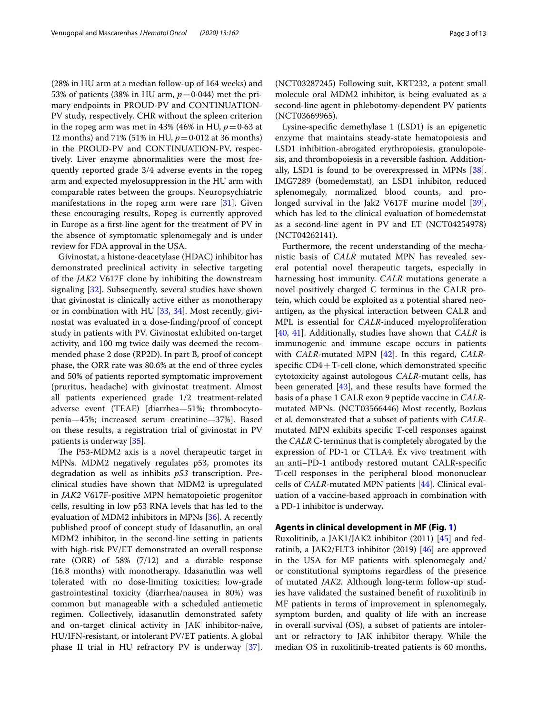(28% in HU arm at a median follow-up of 164 weeks) and 53% of patients (38% in HU arm,  $p=0.044$ ) met the primary endpoints in PROUD-PV and CONTINUATION-PV study, respectively. CHR without the spleen criterion in the ropeg arm was met in 43% (46% in HU,  $p = 0.63$  at 12 months) and 71% (51% in HU, *p*=0·012 at 36 months) in the PROUD-PV and CONTINUATION-PV, respectively. Liver enzyme abnormalities were the most frequently reported grade 3/4 adverse events in the ropeg arm and expected myelosuppression in the HU arm with comparable rates between the groups. Neuropsychiatric manifestations in the ropeg arm were rare [[31](#page-10-27)]. Given these encouraging results, Ropeg is currently approved in Europe as a frst-line agent for the treatment of PV in the absence of symptomatic splenomegaly and is under review for FDA approval in the USA.

Givinostat, a histone-deacetylase (HDAC) inhibitor has demonstrated preclinical activity in selective targeting of the *JAK2* V617F clone by inhibiting the downstream signaling [[32\]](#page-10-28). Subsequently, several studies have shown that givinostat is clinically active either as monotherapy or in combination with HU [[33,](#page-10-29) [34\]](#page-10-30). Most recently, givinostat was evaluated in a dose-fnding/proof of concept study in patients with PV. Givinostat exhibited on-target activity, and 100 mg twice daily was deemed the recommended phase 2 dose (RP2D). In part B, proof of concept phase, the ORR rate was 80.6% at the end of three cycles and 50% of patients reported symptomatic improvement (pruritus, headache) with givinostat treatment. Almost all patients experienced grade 1/2 treatment-related adverse event (TEAE) [diarrhea—51%; thrombocytopenia—45%; increased serum creatinine—37%]. Based on these results, a registration trial of givinostat in PV patients is underway [\[35](#page-10-31)].

The P53-MDM2 axis is a novel therapeutic target in MPNs. MDM2 negatively regulates p53, promotes its degradation as well as inhibits *p53* transcription. Preclinical studies have shown that MDM2 is upregulated in *JAK2* V617F-positive MPN hematopoietic progenitor cells, resulting in low p53 RNA levels that has led to the evaluation of MDM2 inhibitors in MPNs [\[36](#page-10-32)]. A recently published proof of concept study of Idasanutlin, an oral MDM2 inhibitor, in the second-line setting in patients with high-risk PV/ET demonstrated an overall response rate (ORR) of 58% (7/12) and a durable response (16.8 months) with monotherapy. Idasanutlin was well tolerated with no dose-limiting toxicities; low-grade gastrointestinal toxicity (diarrhea/nausea in 80%) was common but manageable with a scheduled antiemetic regimen. Collectively, idasanutlin demonstrated safety and on-target clinical activity in JAK inhibitor-naïve, HU/IFN-resistant, or intolerant PV/ET patients. A global phase II trial in HU refractory PV is underway [\[37](#page-10-33)]. (NCT03287245) Following suit, KRT232, a potent small molecule oral MDM2 inhibitor, is being evaluated as a second-line agent in phlebotomy-dependent PV patients (NCT03669965).

Lysine-specifc demethylase 1 (LSD1) is an epigenetic enzyme that maintains steady-state hematopoiesis and LSD1 inhibition-abrogated erythropoiesis, granulopoiesis, and thrombopoiesis in a reversible fashion. Additionally, LSD1 is found to be overexpressed in MPNs [\[38](#page-11-0)]. IMG7289 (bomedemstat), an LSD1 inhibitor, reduced splenomegaly, normalized blood counts, and prolonged survival in the Jak2 V617F murine model [\[39](#page-11-1)], which has led to the clinical evaluation of bomedemstat as a second-line agent in PV and ET (NCT04254978) (NCT04262141).

Furthermore, the recent understanding of the mechanistic basis of *CALR* mutated MPN has revealed several potential novel therapeutic targets, especially in harnessing host immunity. *CALR* mutations generate a novel positively charged C terminus in the CALR protein, which could be exploited as a potential shared neoantigen, as the physical interaction between CALR and MPL is essential for *CALR*-induced myeloproliferation [[40,](#page-11-2) [41](#page-11-3)]. Additionally, studies have shown that *CALR* is immunogenic and immune escape occurs in patients with *CALR*-mutated MPN [[42](#page-11-4)]. In this regard, *CALR*specific  $CD4+T$ -cell clone, which demonstrated specific cytotoxicity against autologous *CALR*-mutant cells, has been generated [\[43](#page-11-5)], and these results have formed the basis of a phase 1 CALR exon 9 peptide vaccine in *CALR*mutated MPNs. (NCT03566446) Most recently, Bozkus et al*.* demonstrated that a subset of patients with *CALR*mutated MPN exhibits specifc T-cell responses against the *CALR* C-terminus that is completely abrogated by the expression of PD-1 or CTLA4. Ex vivo treatment with an anti–PD-1 antibody restored mutant CALR-specifc T-cell responses in the peripheral blood mononuclear cells of *CALR*-mutated MPN patients [\[44\]](#page-11-6). Clinical evaluation of a vaccine-based approach in combination with a PD-1 inhibitor is underway**.**

## **Agents in clinical development in MF (Fig. [1](#page-3-0))**

Ruxolitinib, a JAK1/JAK2 inhibitor (2011) [[45\]](#page-11-7) and fedratinib, a JAK2/FLT3 inhibitor (2019) [[46\]](#page-11-8) are approved in the USA for MF patients with splenomegaly and/ or constitutional symptoms regardless of the presence of mutated *JAK2*. Although long-term follow-up studies have validated the sustained beneft of ruxolitinib in MF patients in terms of improvement in splenomegaly, symptom burden, and quality of life with an increase in overall survival (OS), a subset of patients are intolerant or refractory to JAK inhibitor therapy. While the median OS in ruxolitinib-treated patients is 60 months,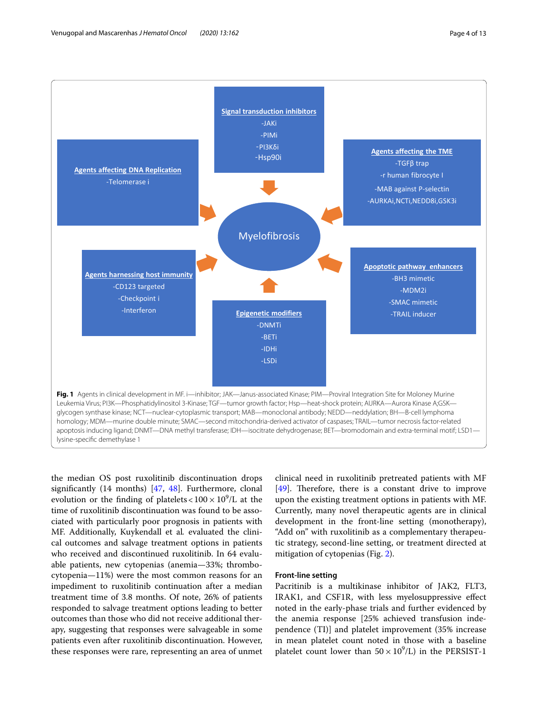

<span id="page-3-0"></span>the median OS post ruxolitinib discontinuation drops significantly (14 months) [\[47](#page-11-9), [48\]](#page-11-10). Furthermore, clonal evolution or the finding of platelets <  $100 \times 10^9$ /L at the time of ruxolitinib discontinuation was found to be associated with particularly poor prognosis in patients with MF. Additionally, Kuykendall et al*.* evaluated the clinical outcomes and salvage treatment options in patients who received and discontinued ruxolitinib. In 64 evaluable patients, new cytopenias (anemia—33%; thrombocytopenia—11%) were the most common reasons for an impediment to ruxolitinib continuation after a median treatment time of 3.8 months. Of note, 26% of patients responded to salvage treatment options leading to better outcomes than those who did not receive additional therapy, suggesting that responses were salvageable in some patients even after ruxolitinib discontinuation. However, these responses were rare, representing an area of unmet

clinical need in ruxolitinib pretreated patients with MF  $[49]$  $[49]$ . Therefore, there is a constant drive to improve upon the existing treatment options in patients with MF. Currently, many novel therapeutic agents are in clinical development in the front-line setting (monotherapy), "Add on" with ruxolitinib as a complementary therapeutic strategy, second-line setting, or treatment directed at mitigation of cytopenias (Fig. [2](#page-4-0)).

# **Front‑line setting**

Pacritinib is a multikinase inhibitor of JAK2, FLT3, IRAK1, and CSF1R, with less myelosuppressive efect noted in the early-phase trials and further evidenced by the anemia response [25% achieved transfusion independence (TI)] and platelet improvement (35% increase in mean platelet count noted in those with a baseline platelet count lower than  $50 \times 10^9$ /L) in the PERSIST-1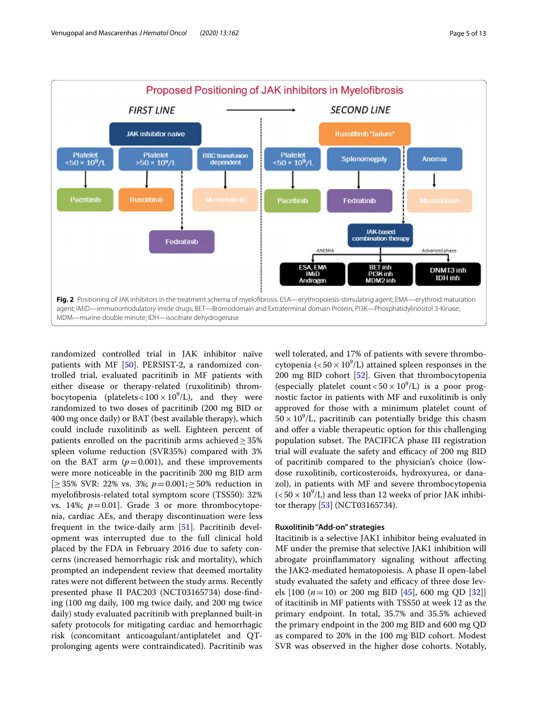

<span id="page-4-0"></span>randomized controlled trial in JAK inhibitor naïve patients with MF [\[50\]](#page-11-12). PERSIST-2, a randomized controlled trial, evaluated pacritinib in MF patients with either disease or therapy-related (ruxolitinib) thrombocytopenia (platelets <  $100 \times 10^9$ /L), and they were randomized to two doses of pacritinib (200 mg BID or 400 mg once daily) or BAT (best available therapy), which could include ruxolitinib as well. Eighteen percent of patients enrolled on the pacritinib arms achieved  $\geq$  35% spleen volume reduction (SVR35%) compared with 3% on the BAT arm  $(p=0.001)$ , and these improvements were more noticeable in the pacritinib 200 mg BID arm [≥35% SVR: 22% vs. 3%; *p*=0.001;≥50% reduction in myelofbrosis-related total symptom score (TSS50): 32% vs. 14%;  $p=0.01$ ]. Grade 3 or more thrombocytopenia, cardiac AEs, and therapy discontinuation were less frequent in the twice-daily arm [[51\]](#page-11-13). Pacritinib development was interrupted due to the full clinical hold placed by the FDA in February 2016 due to safety concerns (increased hemorrhagic risk and mortality), which prompted an independent review that deemed mortality rates were not diferent between the study arms. Recently presented phase II PAC203 (NCT03165734) dose-fnding (100 mg daily, 100 mg twice daily, and 200 mg twice daily) study evaluated pacritinib with preplanned built-in safety protocols for mitigating cardiac and hemorrhagic risk (concomitant anticoagulant/antiplatelet and QTprolonging agents were contraindicated). Pacritinib was

well tolerated, and 17% of patients with severe thrombocytopenia ( $\langle 50 \times 10^9 \rangle$ L) attained spleen responses in the 200 mg BID cohort [[52\]](#page-11-14). Given that thrombocytopenia (especially platelet count  $< 50 \times 10^9$ /L) is a poor prognostic factor in patients with MF and ruxolitinib is only approved for those with a minimum platelet count of  $50 \times 10^9$ /L, pacritinib can potentially bridge this chasm and offer a viable therapeutic option for this challenging population subset. The PACIFICA phase III registration trial will evaluate the safety and efficacy of 200 mg BID of pacritinib compared to the physician's choice (lowdose ruxolitinib, corticosteroids, hydroxyurea, or danazol), in patients with MF and severe thrombocytopenia  $(<50 \times 10^9$ /L) and less than 12 weeks of prior JAK inhibitor therapy [[53](#page-11-15)] (NCT03165734).

# **Ruxolitinib "Add‑on" strategies**

Itacitinib is a selective JAK1 inhibitor being evaluated in MF under the premise that selective JAK1 inhibition will abrogate proinfammatory signaling without afecting the JAK2-mediated hematopoiesis. A phase II open-label study evaluated the safety and efficacy of three dose levels  $[100 (n=10)$  or 200 mg BID  $[45]$  $[45]$ , 600 mg OD  $[32]$  $[32]$ ] of itacitinib in MF patients with TSS50 at week 12 as the primary endpoint. In total, 35.7% and 35.5% achieved the primary endpoint in the 200 mg BID and 600 mg QD as compared to 20% in the 100 mg BID cohort. Modest SVR was observed in the higher dose cohorts. Notably,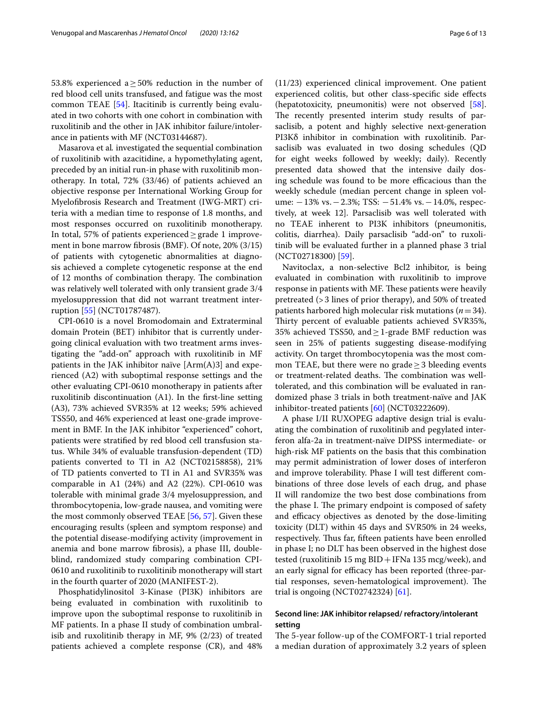53.8% experienced a $\geq$  50% reduction in the number of red blood cell units transfused, and fatigue was the most common TEAE [[54](#page-11-16)]. Itacitinib is currently being evaluated in two cohorts with one cohort in combination with ruxolitinib and the other in JAK inhibitor failure/intolerance in patients with MF (NCT03144687).

Masarova et al*.* investigated the sequential combination of ruxolitinib with azacitidine, a hypomethylating agent, preceded by an initial run-in phase with ruxolitinib monotherapy. In total, 72% (33/46) of patients achieved an objective response per International Working Group for Myelofbrosis Research and Treatment (IWG-MRT) criteria with a median time to response of 1.8 months, and most responses occurred on ruxolitinib monotherapy. In total, 57% of patients experienced  $\geq$  grade 1 improvement in bone marrow fbrosis (BMF). Of note, 20% (3/15) of patients with cytogenetic abnormalities at diagnosis achieved a complete cytogenetic response at the end of 12 months of combination therapy. The combination was relatively well tolerated with only transient grade 3/4 myelosuppression that did not warrant treatment interruption [\[55\]](#page-11-17) (NCT01787487).

CPI-0610 is a novel Bromodomain and Extraterminal domain Protein (BET) inhibitor that is currently undergoing clinical evaluation with two treatment arms investigating the "add-on" approach with ruxolitinib in MF patients in the JAK inhibitor naïve [Arm(A)3] and experienced (A2) with suboptimal response settings and the other evaluating CPI-0610 monotherapy in patients after ruxolitinib discontinuation (A1). In the frst-line setting (A3), 73% achieved SVR35% at 12 weeks; 59% achieved TSS50, and 46% experienced at least one-grade improvement in BMF. In the JAK inhibitor "experienced" cohort, patients were stratifed by red blood cell transfusion status. While 34% of evaluable transfusion-dependent (TD) patients converted to TI in A2 (NCT02158858), 21% of TD patients converted to TI in A1 and SVR35% was comparable in A1  $(24%)$  and A2  $(22%)$ . CPI-0610 was tolerable with minimal grade 3/4 myelosuppression, and thrombocytopenia, low-grade nausea, and vomiting were the most commonly observed TEAE [[56](#page-11-18), [57\]](#page-11-19). Given these encouraging results (spleen and symptom response) and the potential disease-modifying activity (improvement in anemia and bone marrow fbrosis), a phase III, doubleblind, randomized study comparing combination CPI-0610 and ruxolitinib to ruxolitinib monotherapy will start in the fourth quarter of 2020 (MANIFEST-2).

Phosphatidylinositol 3-Kinase (PI3K) inhibitors are being evaluated in combination with ruxolitinib to improve upon the suboptimal response to ruxolitinib in MF patients. In a phase II study of combination umbralisib and ruxolitinib therapy in MF, 9% (2/23) of treated patients achieved a complete response (CR), and 48% (11/23) experienced clinical improvement. One patient experienced colitis, but other class-specifc side efects (hepatotoxicity, pneumonitis) were not observed [\[58](#page-11-20)]. The recently presented interim study results of parsaclisib, a potent and highly selective next-generation PI3Kδ inhibitor in combination with ruxolitinib. Parsaclisib was evaluated in two dosing schedules (QD for eight weeks followed by weekly; daily). Recently presented data showed that the intensive daily dosing schedule was found to be more efficacious than the weekly schedule (median percent change in spleen volume: −13% vs.−2.3%; TSS: −51.4% vs.−14.0%, respectively, at week 12]. Parsaclisib was well tolerated with no TEAE inherent to PI3K inhibitors (pneumonitis, colitis, diarrhea). Daily parsaclisib "add-on" to ruxolitinib will be evaluated further in a planned phase 3 trial (NCT02718300) [\[59\]](#page-11-21).

Navitoclax, a non-selective Bcl2 inhibitor, is being evaluated in combination with ruxolitinib to improve response in patients with MF. These patients were heavily pretreated (>3 lines of prior therapy), and 50% of treated patients harbored high molecular risk mutations (*n*=34). Thirty percent of evaluable patients achieved SVR35%, 35% achieved TSS50, and  $\geq$  1-grade BMF reduction was seen in 25% of patients suggesting disease-modifying activity. On target thrombocytopenia was the most common TEAE, but there were no grade  $\geq$  3 bleeding events or treatment-related deaths. The combination was welltolerated, and this combination will be evaluated in randomized phase 3 trials in both treatment-naïve and JAK inhibitor-treated patients [\[60](#page-11-22)] (NCT03222609).

A phase I/II RUXOPEG adaptive design trial is evaluating the combination of ruxolitinib and pegylated interferon alfa-2a in treatment-naïve DIPSS intermediate- or high-risk MF patients on the basis that this combination may permit administration of lower doses of interferon and improve tolerability. Phase I will test diferent combinations of three dose levels of each drug, and phase II will randomize the two best dose combinations from the phase I. The primary endpoint is composed of safety and efficacy objectives as denoted by the dose-limiting toxicity (DLT) within 45 days and SVR50% in 24 weeks, respectively. Thus far, fifteen patients have been enrolled in phase I; no DLT has been observed in the highest dose tested (ruxolitinib 15 mg BID+IFNa 135 mcg/week), and an early signal for efficacy has been reported (three-partial responses, seven-hematological improvement). The trial is ongoing (NCT02742324) [[61](#page-11-23)].

# **Second line: JAK inhibitor relapsed/ refractory/intolerant setting**

The 5-year follow-up of the COMFORT-1 trial reported a median duration of approximately 3.2 years of spleen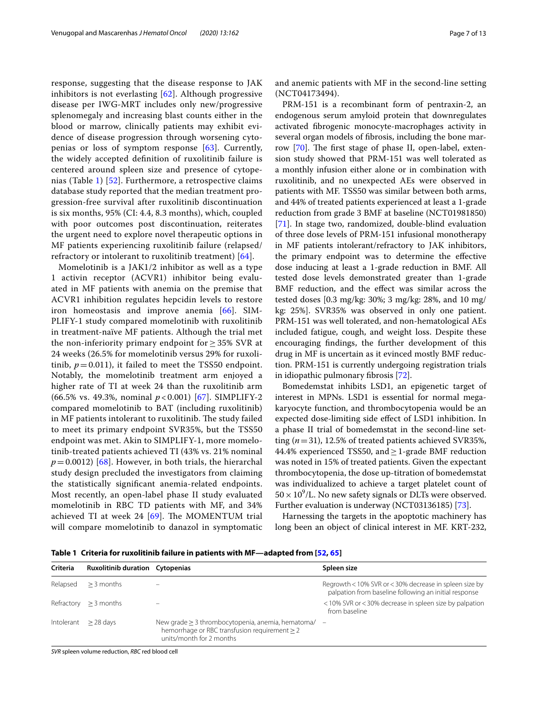response, suggesting that the disease response to JAK inhibitors is not everlasting [[62\]](#page-11-24). Although progressive disease per IWG-MRT includes only new/progressive splenomegaly and increasing blast counts either in the blood or marrow, clinically patients may exhibit evidence of disease progression through worsening cytopenias or loss of symptom response [\[63](#page-11-25)]. Currently, the widely accepted defnition of ruxolitinib failure is centered around spleen size and presence of cytopenias (Table [1\)](#page-6-0) [\[52](#page-11-14)]. Furthermore, a retrospective claims database study reported that the median treatment progression-free survival after ruxolitinib discontinuation is six months, 95% (CI: 4.4, 8.3 months), which, coupled with poor outcomes post discontinuation, reiterates the urgent need to explore novel therapeutic options in MF patients experiencing ruxolitinib failure (relapsed/ refractory or intolerant to ruxolitinib treatment) [[64](#page-11-26)].

Momelotinib is a JAK1/2 inhibitor as well as a type 1 activin receptor (ACVR1) inhibitor being evaluated in MF patients with anemia on the premise that ACVR1 inhibition regulates hepcidin levels to restore iron homeostasis and improve anemia [\[66](#page-11-27)]. SIM-PLIFY-1 study compared momelotinib with ruxolitinib in treatment-naïve MF patients. Although the trial met the non-inferiority primary endpoint for  $\geq$  35% SVR at 24 weeks (26.5% for momelotinib versus 29% for ruxolitinib,  $p = 0.011$ ), it failed to meet the TSS50 endpoint. Notably, the momelotinib treatment arm enjoyed a higher rate of TI at week 24 than the ruxolitinib arm (66.5% vs. 49.3%, nominal *p* < 0.001) [\[67\]](#page-11-28). SIMPLIFY-2 compared momelotinib to BAT (including ruxolitinib) in MF patients intolerant to ruxolitinib. The study failed to meet its primary endpoint SVR35%, but the TSS50 endpoint was met. Akin to SIMPLIFY-1, more momelotinib-treated patients achieved TI (43% vs. 21% nominal  $p=0.0012$ ) [[68\]](#page-11-29). However, in both trials, the hierarchal study design precluded the investigators from claiming the statistically signifcant anemia-related endpoints. Most recently, an open-label phase II study evaluated momelotinib in RBC TD patients with MF, and 34% achieved TI at week 24  $[69]$  $[69]$ . The MOMENTUM trial will compare momelotinib to danazol in symptomatic and anemic patients with MF in the second-line setting (NCT04173494).

PRM-151 is a recombinant form of pentraxin-2, an endogenous serum amyloid protein that downregulates activated fbrogenic monocyte-macrophages activity in several organ models of fbrosis, including the bone mar-row [[70](#page-11-31)]. The first stage of phase II, open-label, extension study showed that PRM-151 was well tolerated as a monthly infusion either alone or in combination with ruxolitinib, and no unexpected AEs were observed in patients with MF. TSS50 was similar between both arms, and 44% of treated patients experienced at least a 1-grade reduction from grade 3 BMF at baseline (NCT01981850) [[71\]](#page-11-32). In stage two, randomized, double-blind evaluation of three dose levels of PRM-151 infusional monotherapy in MF patients intolerant/refractory to JAK inhibitors, the primary endpoint was to determine the efective dose inducing at least a 1-grade reduction in BMF. All tested dose levels demonstrated greater than 1-grade BMF reduction, and the effect was similar across the tested doses [0.3 mg/kg: 30%; 3 mg/kg: 28%, and 10 mg/ kg: 25%]. SVR35% was observed in only one patient. PRM-151 was well tolerated, and non-hematological AEs included fatigue, cough, and weight loss. Despite these encouraging fndings, the further development of this drug in MF is uncertain as it evinced mostly BMF reduction. PRM-151 is currently undergoing registration trials in idiopathic pulmonary fbrosis [\[72\]](#page-11-33).

Bomedemstat inhibits LSD1, an epigenetic target of interest in MPNs. LSD1 is essential for normal megakaryocyte function, and thrombocytopenia would be an expected dose-limiting side efect of LSD1 inhibition. In a phase II trial of bomedemstat in the second-line setting (*n*=31), 12.5% of treated patients achieved SVR35%, 44.4% experienced TSS50, and  $\geq$  1-grade BMF reduction was noted in 15% of treated patients. Given the expectant thrombocytopenia, the dose up-titration of bomedemstat was individualized to achieve a target platelet count of  $50 \times 10^9$ /L. No new safety signals or DLTs were observed. Further evaluation is underway (NCT03136185) [[73\]](#page-11-34).

Harnessing the targets in the apoptotic machinery has long been an object of clinical interest in MF. KRT-232,

<span id="page-6-0"></span>**Table 1 Criteria for ruxolitinib failure in patients with MF—adapted from [[52,](#page-11-14) [65\]](#page-11-35)**

| Criteria               | <b>Ruxolitinib duration Cytopenias</b> |                                                                                                                                  | Spleen size                                                                                                     |  |  |
|------------------------|----------------------------------------|----------------------------------------------------------------------------------------------------------------------------------|-----------------------------------------------------------------------------------------------------------------|--|--|
| Relapsed               | $>$ 3 months                           |                                                                                                                                  | Regrowth < 10% SVR or < 30% decrease in spleen size by<br>palpation from baseline following an initial response |  |  |
|                        | Refractory $\geq$ 3 months             |                                                                                                                                  | <10% SVR or <30% decrease in spleen size by palpation<br>from baseline                                          |  |  |
| Intolerant $>$ 28 days |                                        | New grade > 3 thrombocytopenia, anemia, hematoma/ -<br>hemorrhage or RBC transfusion requirement > 2<br>units/month for 2 months |                                                                                                                 |  |  |

*SVR* spleen volume reduction, *RBC* red blood cell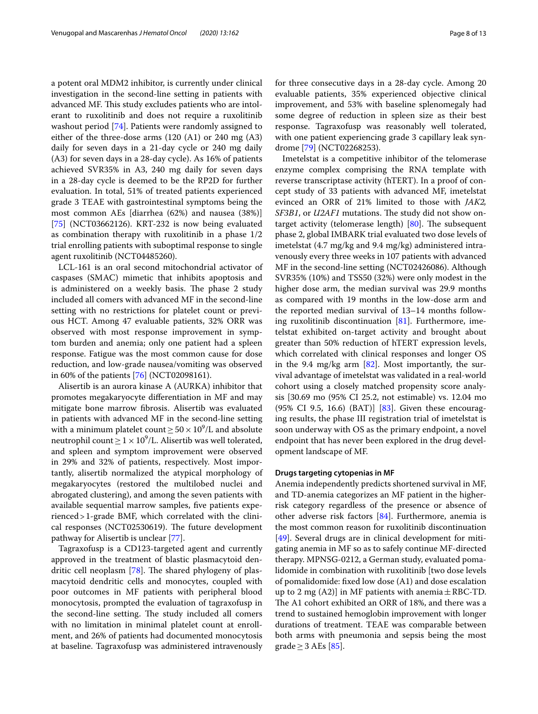a potent oral MDM2 inhibitor, is currently under clinical investigation in the second-line setting in patients with advanced MF. This study excludes patients who are intolerant to ruxolitinib and does not require a ruxolitinib washout period [[74\]](#page-11-36). Patients were randomly assigned to either of the three-dose arms (120 (A1) or 240 mg (A3) daily for seven days in a 21-day cycle or 240 mg daily (A3) for seven days in a 28-day cycle). As 16% of patients achieved SVR35% in A3, 240 mg daily for seven days in a 28-day cycle is deemed to be the RP2D for further evaluation. In total, 51% of treated patients experienced grade 3 TEAE with gastrointestinal symptoms being the most common AEs [diarrhea (62%) and nausea (38%)] [[75\]](#page-12-0) (NCT03662126). KRT-232 is now being evaluated as combination therapy with ruxolitinib in a phase 1/2 trial enrolling patients with suboptimal response to single agent ruxolitinib (NCT04485260).

LCL-161 is an oral second mitochondrial activator of caspases (SMAC) mimetic that inhibits apoptosis and is administered on a weekly basis. The phase 2 study included all comers with advanced MF in the second-line setting with no restrictions for platelet count or previous HCT. Among 47 evaluable patients, 32% ORR was observed with most response improvement in symptom burden and anemia; only one patient had a spleen response. Fatigue was the most common cause for dose reduction, and low-grade nausea/vomiting was observed in 60% of the patients [[76\]](#page-12-1) (NCT02098161).

Alisertib is an aurora kinase A (AURKA) inhibitor that promotes megakaryocyte diferentiation in MF and may mitigate bone marrow fbrosis. Alisertib was evaluated in patients with advanced MF in the second-line setting with a minimum platelet count  $\geq 50 \times 10^9$ /L and absolute neutrophil count  $\geq 1 \times 10^9$ /L. Alisertib was well tolerated, and spleen and symptom improvement were observed in 29% and 32% of patients, respectively. Most importantly, alisertib normalized the atypical morphology of megakaryocytes (restored the multilobed nuclei and abrogated clustering), and among the seven patients with available sequential marrow samples, fve patients experienced>1-grade BMF, which correlated with the clinical responses (NCT02530619). The future development pathway for Alisertib is unclear [[77](#page-12-2)].

Tagraxofusp is a CD123-targeted agent and currently approved in the treatment of blastic plasmacytoid dendritic cell neoplasm  $[78]$  $[78]$ . The shared phylogeny of plasmacytoid dendritic cells and monocytes, coupled with poor outcomes in MF patients with peripheral blood monocytosis, prompted the evaluation of tagraxofusp in the second-line setting. The study included all comers with no limitation in minimal platelet count at enrollment, and 26% of patients had documented monocytosis at baseline. Tagraxofusp was administered intravenously for three consecutive days in a 28-day cycle. Among 20 evaluable patients, 35% experienced objective clinical improvement, and 53% with baseline splenomegaly had some degree of reduction in spleen size as their best response. Tagraxofusp was reasonably well tolerated, with one patient experiencing grade 3 capillary leak syndrome [\[79\]](#page-12-3) (NCT02268253).

Imetelstat is a competitive inhibitor of the telomerase enzyme complex comprising the RNA template with reverse transcriptase activity (hTERT). In a proof of concept study of 33 patients with advanced MF, imetelstat evinced an ORR of 21% limited to those with *JAK2, SF3B1*, or *U2AF1* mutations. The study did not show ontarget activity (telomerase length)  $[80]$  $[80]$ . The subsequent phase 2, global IMBARK trial evaluated two dose levels of imetelstat (4.7 mg/kg and 9.4 mg/kg) administered intravenously every three weeks in 107 patients with advanced MF in the second-line setting (NCT02426086). Although SVR35% (10%) and TSS50 (32%) were only modest in the higher dose arm, the median survival was 29.9 months as compared with 19 months in the low-dose arm and the reported median survival of 13–14 months following ruxolitinib discontinuation [\[81\]](#page-12-5). Furthermore, imetelstat exhibited on-target activity and brought about greater than 50% reduction of hTERT expression levels, which correlated with clinical responses and longer OS in the 9.4 mg/kg arm [\[82](#page-12-6)]. Most importantly, the survival advantage of imetelstat was validated in a real-world cohort using a closely matched propensity score analysis [30.69 mo (95% CI 25.2, not estimable) vs. 12.04 mo (95% CI 9.5, 16.6) (BAT)] [\[83\]](#page-12-7). Given these encouraging results, the phase III registration trial of imetelstat is soon underway with OS as the primary endpoint, a novel endpoint that has never been explored in the drug development landscape of MF.

# **Drugs targeting cytopenias in MF**

Anemia independently predicts shortened survival in MF, and TD-anemia categorizes an MF patient in the higherrisk category regardless of the presence or absence of other adverse risk factors [\[84\]](#page-12-8). Furthermore, anemia is the most common reason for ruxolitinib discontinuation [[49\]](#page-11-11). Several drugs are in clinical development for mitigating anemia in MF so as to safely continue MF-directed therapy. MPNSG-0212, a German study, evaluated pomalidomide in combination with ruxolitinib [two dose levels of pomalidomide: fxed low dose (A1) and dose escalation up to 2 mg (A2)] in MF patients with anemia  $\pm$  RBC-TD. The A1 cohort exhibited an ORR of 18%, and there was a trend to sustained hemoglobin improvement with longer durations of treatment. TEAE was comparable between both arms with pneumonia and sepsis being the most grade ≥ 3 AEs  $[85]$  $[85]$ .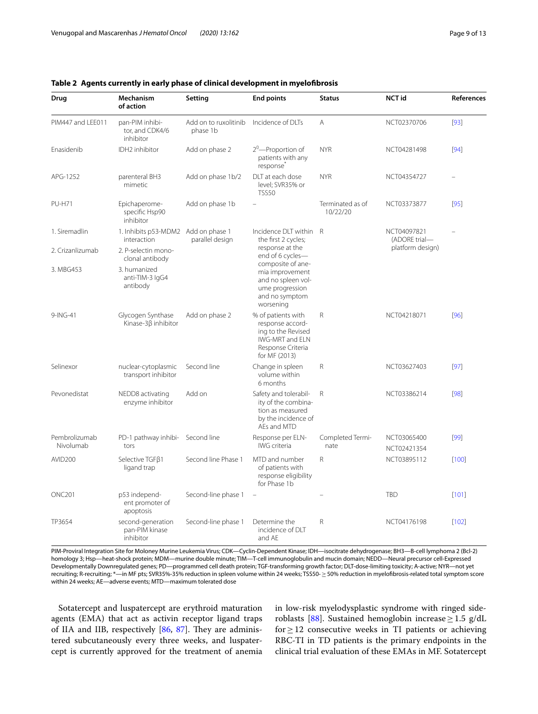| Drug                       | <b>Mechanism</b><br>of action                    | Setting                           | <b>End points</b>                                                                                                                                   | <b>Status</b>                | <b>NCT id</b>                | References |
|----------------------------|--------------------------------------------------|-----------------------------------|-----------------------------------------------------------------------------------------------------------------------------------------------------|------------------------------|------------------------------|------------|
| PIM447 and LEE011          | pan-PIM inhibi-<br>tor, and CDK4/6<br>inhibitor  | Add on to ruxolitinib<br>phase 1b | Incidence of DLTs                                                                                                                                   | A                            | NCT02370706                  | $[93]$     |
| Enasidenib                 | IDH2 inhibitor                                   | Add on phase 2                    | $2^0$ -Proportion of<br>patients with any<br>response                                                                                               | <b>NYR</b>                   | NCT04281498                  | $[94]$     |
| APG-1252                   | parenteral BH3<br>mimetic                        | Add on phase 1b/2                 | DLT at each dose<br>level; SVR35% or<br><b>TSS50</b>                                                                                                | <b>NYR</b>                   | NCT04354727                  |            |
| <b>PU-H71</b>              | Epichaperome-<br>specific Hsp90<br>inhibitor     | Add on phase 1b                   |                                                                                                                                                     | Terminated as of<br>10/22/20 | NCT03373877                  | [95]       |
| 1. Siremadlin              | 1. Inhibits p53-MDM2<br>interaction              |                                   | Incidence DLT within R<br>the first 2 cycles;                                                                                                       |                              | NCT04097821<br>(ADORE trial- |            |
| 2. Crizanlizumab           | 2. P-selectin mono-<br>clonal antibody           |                                   | response at the<br>end of 6 cycles-<br>composite of ane-<br>mia improvement<br>and no spleen vol-<br>ume progression<br>and no symptom<br>worsening |                              | platform design)             |            |
| 3. MBG453                  | 3. humanized<br>anti-TIM-3 IgG4<br>antibody      |                                   |                                                                                                                                                     |                              |                              |            |
| 9-ING-41                   | Glycogen Synthase<br>Kinase-3ß inhibitor         | Add on phase 2                    | % of patients with<br>response accord-<br>ing to the Revised<br>IWG-MRT and ELN<br>Response Criteria<br>for MF (2013)                               | $\mathsf R$                  | NCT04218071                  | [96]       |
| Selinexor                  | nuclear-cytoplasmic<br>transport inhibitor       | Second line                       | Change in spleen<br>volume within<br>6 months                                                                                                       | $\mathsf R$                  | NCT03627403                  | [97]       |
| Pevonedistat               | NEDD8 activating<br>enzyme inhibitor             | Add on                            | Safety and tolerabil-<br>ity of the combina-<br>tion as measured<br>by the incidence of<br>AEs and MTD                                              | $\mathsf R$                  | NCT03386214                  | [98]       |
| Pembrolizumab<br>Nivolumab | PD-1 pathway inhibi- Second line<br>tors         |                                   | Response per ELN-<br>IWG criteria                                                                                                                   | Completed Termi-<br>nate     | NCT03065400<br>NCT02421354   | $[99]$     |
| AVID <sub>200</sub>        | Selective $TGF\beta1$<br>ligand trap             | Second line Phase 1               | MTD and number<br>of patients with<br>response eligibility<br>for Phase 1b                                                                          | R                            | NCT03895112                  | [100]      |
| <b>ONC201</b>              | p53 independ-<br>ent promoter of<br>apoptosis    | Second-line phase 1               |                                                                                                                                                     |                              | <b>TBD</b>                   | [101]      |
| TP3654                     | second-generation<br>pan-PIM kinase<br>inhibitor | Second-line phase 1               | Determine the<br>incidence of DLT<br>and AE                                                                                                         | $\mathsf R$                  | NCT04176198                  | [102]      |

# <span id="page-8-0"></span>**Table 2 Agents currently in early phase of clinical development in myelofbrosis**

PIM-Proviral Integration Site for Moloney Murine Leukemia Virus; CDK—Cyclin-Dependent Kinase; IDH—isocitrate dehydrogenase; BH3—B-cell lymphoma 2 (Bcl-2) homology 3; Hsp—heat-shock protein; MDM—murine double minute; TIM—T-cell immunoglobulin and mucin domain; NEDD—Neural precursor cell-Expressed Developmentally Downregulated genes; PD—programmed cell death protein; TGF-transforming growth factor; DLT-dose-limiting toxicity; A-active; NYR—not yet recruiting; R-recruiting; \*—in MF pts; SVR35%-35% reduction in spleen volume within 24 weeks; TSS50-≥50% reduction in myelofbrosis-related total symptom score within 24 weeks; AE—adverse events; MTD—maximum tolerated dose

Sotatercept and luspatercept are erythroid maturation agents (EMA) that act as activin receptor ligand traps of IIA and IIB, respectively  $[86, 87]$  $[86, 87]$  $[86, 87]$ . They are administered subcutaneously every three weeks, and luspatercept is currently approved for the treatment of anemia in low-risk myelodysplastic syndrome with ringed side-roblasts [\[88\]](#page-12-12). Sustained hemoglobin increase  $\geq$  1.5 g/dL for≥12 consecutive weeks in TI patients or achieving RBC-TI in TD patients is the primary endpoints in the clinical trial evaluation of these EMAs in MF. Sotatercept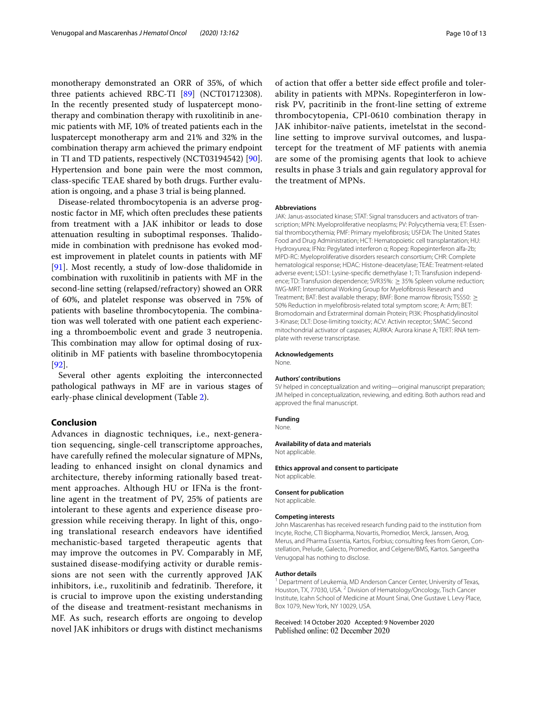monotherapy demonstrated an ORR of 35%, of which three patients achieved RBC-TI [\[89\]](#page-12-23) (NCT01712308). In the recently presented study of luspatercept monotherapy and combination therapy with ruxolitinib in anemic patients with MF, 10% of treated patients each in the luspatercept monotherapy arm and 21% and 32% in the combination therapy arm achieved the primary endpoint in TI and TD patients, respectively (NCT03194542) [\[90](#page-12-24)]. Hypertension and bone pain were the most common, class-specifc TEAE shared by both drugs. Further evaluation is ongoing, and a phase 3 trial is being planned.

Disease-related thrombocytopenia is an adverse prognostic factor in MF, which often precludes these patients from treatment with a JAK inhibitor or leads to dose attenuation resulting in suboptimal responses. Talidomide in combination with prednisone has evoked modest improvement in platelet counts in patients with MF [[91\]](#page-12-25). Most recently, a study of low-dose thalidomide in combination with ruxolitinib in patients with MF in the second-line setting (relapsed/refractory) showed an ORR of 60%, and platelet response was observed in 75% of patients with baseline thrombocytopenia. The combination was well tolerated with one patient each experiencing a thromboembolic event and grade 3 neutropenia. This combination may allow for optimal dosing of ruxolitinib in MF patients with baseline thrombocytopenia [[92\]](#page-12-26).

Several other agents exploiting the interconnected pathological pathways in MF are in various stages of early-phase clinical development (Table [2\)](#page-8-0).

# **Conclusion**

Advances in diagnostic techniques, i.e., next-generation sequencing, single-cell transcriptome approaches, have carefully refned the molecular signature of MPNs, leading to enhanced insight on clonal dynamics and architecture, thereby informing rationally based treatment approaches. Although HU or IFNa is the frontline agent in the treatment of PV, 25% of patients are intolerant to these agents and experience disease progression while receiving therapy. In light of this, ongoing translational research endeavors have identifed mechanistic-based targeted therapeutic agents that may improve the outcomes in PV. Comparably in MF, sustained disease-modifying activity or durable remissions are not seen with the currently approved JAK inhibitors, i.e., ruxolitinib and fedratinib. Therefore, it is crucial to improve upon the existing understanding of the disease and treatment-resistant mechanisms in MF. As such, research efforts are ongoing to develop novel JAK inhibitors or drugs with distinct mechanisms

of action that offer a better side effect profile and tolerability in patients with MPNs. Ropeginterferon in lowrisk PV, pacritinib in the front-line setting of extreme thrombocytopenia, CPI-0610 combination therapy in JAK inhibitor-naïve patients, imetelstat in the secondline setting to improve survival outcomes, and luspatercept for the treatment of MF patients with anemia are some of the promising agents that look to achieve results in phase 3 trials and gain regulatory approval for the treatment of MPNs.

#### **Abbreviations**

JAK: Janus-associated kinase; STAT: Signal transducers and activators of transcription; MPN: Myeloproliferative neoplasms; PV: Polycythemia vera; ET: Essential thrombocythemia; PMF: Primary myelofbrosis; USFDA: The United States Food and Drug Administration; HCT: Hematopoietic cell transplantation; HU: Hydroxyurea; IFNα: Pegylated interferon α; Ropeg: Ropeginterferon alfa-2b; MPD-RC: Myeloproliferative disorders research consortium; CHR: Complete hematological response; HDAC: Histone-deacetylase; TEAE: Treatment-related adverse event; LSD1: Lysine-specifc demethylase 1; TI: Transfusion independence; TD: Transfusion dependence; SVR35%: ≥ 35% Spleen volume reduction; IWG-MRT: International Working Group for Myelofbrosis Research and Treatment; BAT: Best available therapy; BMF: Bone marrow fibrosis; TSS50: ≥ 50% Reduction in myelofbrosis-related total symptom score; A: Arm; BET: Bromodomain and Extraterminal domain Protein; PI3K: Phosphatidylinositol 3-Kinase; DLT: Dose-limiting toxicity; ACV: Activin receptor; SMAC: Second mitochondrial activator of caspases; AURKA: Aurora kinase A; TERT: RNA template with reverse transcriptase.

## **Acknowledgements**

None.

## **Authors' contributions**

SV helped in conceptualization and writing—original manuscript preparation; JM helped in conceptualization, reviewing, and editing. Both authors read and approved the fnal manuscript.

## **Funding**

**None** 

## **Availability of data and materials**

Not applicable.

**Ethics approval and consent to participate** Not applicable.

# **Consent for publication**

Not applicable.

#### **Competing interests**

John Mascarenhas has received research funding paid to the institution from Incyte, Roche, CTI Biopharma, Novartis, Promedior, Merck, Janssen, Arog, Merus, and Pharma Essentia, Kartos, Forbius; consulting fees from Geron, Constellation, Prelude, Galecto, Promedior, and Celgene/BMS, Kartos. Sangeetha Venugopal has nothing to disclose.

#### **Author details**

<sup>1</sup> Department of Leukemia, MD Anderson Cancer Center, University of Texas, Houston, TX, 77030, USA. <sup>2</sup> Division of Hematology/Oncology, Tisch Cancer Institute, Icahn School of Medicine at Mount Sinai, One Gustave L Levy Place, Box 1079, New York, NY 10029, USA.

## Received: 14 October 2020 Accepted: 9 November 2020Published online: 02 December 2020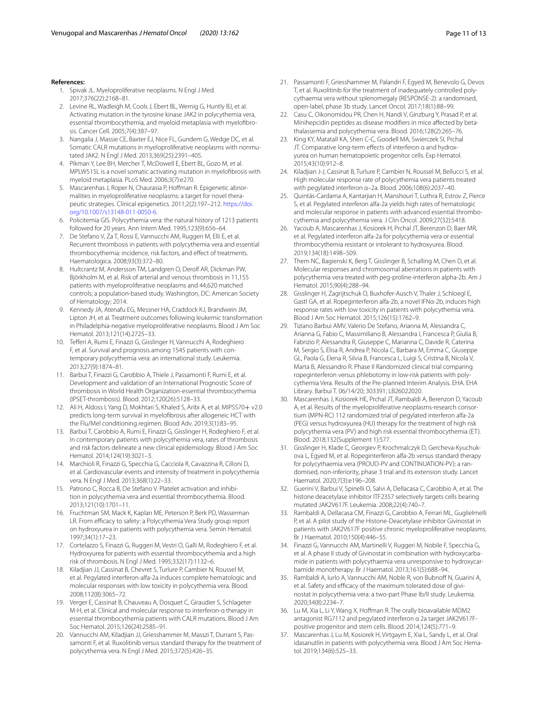## <span id="page-10-0"></span>**References:**

- 1. Spivak JL. Myeloproliferative neoplasms. N Engl J Med. 2017;376(22):2168–81.
- <span id="page-10-1"></span>2. Levine RL, Wadleigh M, Cools J, Ebert BL, Wernig G, Huntly BJ, et al. Activating mutation in the tyrosine kinase JAK2 in polycythemia vera, essential thrombocythemia, and myeloid metaplasia with myelofbrosis. Cancer Cell. 2005;7(4):387–97.
- 3. Nangalia J, Massie CE, Baxter EJ, Nice FL, Gundem G, Wedge DC, et al. Somatic CALR mutations in myeloproliferative neoplasms with nonmutated JAK2. N Engl J Med. 2013;369(25):2391–405.
- <span id="page-10-2"></span>4. Pikman Y, Lee BH, Mercher T, McDowell E, Ebert BL, Gozo M, et al. MPLW515L is a novel somatic activating mutation in myelofbrosis with myeloid metaplasia. PLoS Med. 2006;3(7):e270.
- <span id="page-10-3"></span>5. Mascarenhas J, Roper N, Chaurasia P, Hofman R. Epigenetic abnormalities in myeloproliferative neoplasms: a target for novel therapeutic strategies. Clinical epigenetics. 2011;2(2):197–212. [https://doi.](https://doi.org/10.1007/s13148-011-0050-6) [org/10.1007/s13148-011-0050-6](https://doi.org/10.1007/s13148-011-0050-6).
- <span id="page-10-4"></span>6. Policitemia GIS. Polycythemia vera: the natural history of 1213 patients followed for 20 years. Ann Intern Med. 1995;123(9):656–64.
- <span id="page-10-5"></span>7. De Stefano V, Za T, Rossi E, Vannucchi AM, Ruggeri M, Elli E, et al. Recurrent thrombosis in patients with polycythemia vera and essential thrombocythemia: incidence, risk factors, and efect of treatments. Haematologica. 2008;93(3):372–80.
- <span id="page-10-6"></span>8. Hultcrantz M, Andersson TM, Landgren O, Derolf AR, Dickman PW, Björkholm M, et al. Risk of arterial and venous thrombosis in 11,155 patients with myeloproliferative neoplasms and 44,620 matched controls; a population-based study. Washington, DC: American Society of Hematology; 2014.
- <span id="page-10-7"></span>9. Kennedy JA, Atenafu EG, Messner HA, Craddock KJ, Brandwein JM, Lipton JH, et al. Treatment outcomes following leukemic transformation in Philadelphia-negative myeloproliferative neoplasms. Blood J Am Soc Hematol. 2013;121(14):2725–33.
- <span id="page-10-8"></span>10. Teferi A, Rumi E, Finazzi G, Gisslinger H, Vannucchi A, Rodeghiero F, et al. Survival and prognosis among 1545 patients with contemporary polycythemia vera: an international study. Leukemia. 2013;27(9):1874–81.
- <span id="page-10-9"></span>11. Barbui T, Finazzi G, Carobbio A, Thiele J, Passamonti F, Rumi E, et al. Development and validation of an International Prognostic Score of thrombosis in World Health Organization-essential thrombocythemia (IPSET-thrombosis). Blood. 2012;120(26):5128–33.
- <span id="page-10-10"></span>12. Ali H, Aldoss I, Yang D, Mokhtari S, Khaled S, Aribi A, et al. MIPSS70+ v2.0 predicts long-term survival in myelofbrosis after allogeneic HCT with the Flu/Mel conditioning regimen. Blood Adv. 2019;3(1):83–95.
- <span id="page-10-11"></span>13. Barbui T, Carobbio A, Rumi E, Finazzi G, Gisslinger H, Rodeghiero F, et al. In contemporary patients with polycythemia vera, rates of thrombosis and risk factors delineate a new clinical epidemiology. Blood J Am Soc Hematol. 2014;124(19):3021–3.
- <span id="page-10-12"></span>14. Marchioli R, Finazzi G, Specchia G, Cacciola R, Cavazzina R, Cilloni D, et al. Cardiovascular events and intensity of treatment in polycythemia vera. N Engl J Med. 2013;368(1):22–33.
- <span id="page-10-13"></span>15. Patrono C, Rocca B, De Stefano V. Platelet activation and inhibition in polycythemia vera and essential thrombocythemia. Blood. 2013;121(10):1701–11.
- <span id="page-10-14"></span>16. Fruchtman SM, Mack K, Kaplan ME, Peterson P, Berk PD, Wasserman LR. From efficacy to safety: a Polycythemia Vera Study group report on hydroxyurea in patients with polycythemia vera. Semin Hematol. 1997;34(1):17–23.
- <span id="page-10-15"></span>17. Cortelazzo S, Finazzi G, Ruggeri M, Vestri O, Galli M, Rodeghiero F, et al. Hydroxyurea for patients with essential thrombocythemia and a high risk of thrombosis. N Engl J Med. 1995;332(17):1132–6.
- <span id="page-10-16"></span>18. Kiladjian JJ, Cassinat B, Chevret S, Turlure P, Cambier N, Roussel M, et al. Pegylated interferon-alfa-2a induces complete hematologic and molecular responses with low toxicity in polycythemia vera. Blood. 2008;112(8):3065–72.
- <span id="page-10-17"></span>19. Verger E, Cassinat B, Chauveau A, Dosquet C, Giraudier S, Schlageter M-H, et al. Clinical and molecular response to interferon-α therapy in essential thrombocythemia patients with CALR mutations. Blood J Am Soc Hematol. 2015;126(24):2585–91.
- <span id="page-10-18"></span>20. Vannucchi AM, Kiladjian JJ, Griesshammer M, Masszi T, Durrant S, Passamonti F, et al. Ruxolitinib versus standard therapy for the treatment of polycythemia vera. N Engl J Med. 2015;372(5):426–35.
- <span id="page-10-19"></span>21. Passamonti F, Griesshammer M, Palandri F, Egyed M, Benevolo G, Devos T, et al. Ruxolitinib for the treatment of inadequately controlled polycythaemia vera without splenomegaly (RESPONSE-2): a randomised, open-label, phase 3b study. Lancet Oncol. 2017;18(1):88–99.
- <span id="page-10-20"></span>22. Casu C, Oikonomidou PR, Chen H, Nandi V, Ginzburg Y, Prasad P, et al. Minihepcidin peptides as disease modifers in mice afected by betathalassemia and polycythemia vera. Blood. 2016;128(2):265–76.
- <span id="page-10-21"></span>23. King KY, Matatall KA, Shen C-C, Goodell MA, Swierczek SI, Prchal JT. Comparative long-term efects of interferon α and hydroxyurea on human hematopoietic progenitor cells. Exp Hematol. 2015;43(10):912–8.
- 24. Kiladjian J-J, Cassinat B, Turlure P, Cambier N, Roussel M, Bellucci S, et al. High molecular response rate of polycythemia vera patients treated with pegylated interferon α–2a. Blood. 2006;108(6):2037–40.
- 25. Quintás-Cardama A, Kantarjian H, Manshouri T, Luthra R, Estrov Z, Pierce S, et al. Pegylated interferon alfa-2a yields high rates of hematologic and molecular response in patients with advanced essential thrombocythemia and polycythemia vera. J Clin Oncol. 2009;27(32):5418.
- <span id="page-10-22"></span>26. Yacoub A, Mascarenhas J, Kosiorek H, Prchal JT, Berenzon D, Baer MR, et al. Pegylated interferon alfa-2a for polycythemia vera or essential thrombocythemia resistant or intolerant to hydroxyurea. Blood. 2019;134(18):1498–509.
- <span id="page-10-23"></span>27. Them NC, Bagienski K, Berg T, Gisslinger B, Schalling M, Chen D, et al. Molecular responses and chromosomal aberrations in patients with polycythemia vera treated with peg-proline-interferon alpha-2b. Am J Hematol. 2015;90(4):288–94.
- <span id="page-10-24"></span>28. Gisslinger H, Zagrijtschuk O, Buxhofer-Ausch V, Thaler J, Schloegl E, Gastl GA, et al. Ropeginterferon alfa-2b, a novel IFNα-2b, induces high response rates with low toxicity in patients with polycythemia vera. Blood J Am Soc Hematol. 2015;126(15):1762–9.
- <span id="page-10-25"></span>29. Tiziano Barbui AMV, Valerio De Stefano, Arianna M, Alessandra C, Arianna G, Fabio C, Massimiliano B, Alessandra I, Francesca P, Giulia B, Fabrizio P, Alessandra R, Giuseppe C, Marianna C, Davide R, Caterina M, Sergio S, Elisa R, Andrea P, Nicola C, Barbara M, Emma C, Giuseppe GL, Paola G, Elena R, Silvia B, Francesca L, Luigi S, Cristina B, Nicola V, Marta B, Alessandro R. Phase II Randomized clinical trial comparing ropeginterferon versus phlebotomy in low-risk patients with polycythemia Vera. Results of the Pre-planned Interim Analysis. EHA. EHA Library. Barbui T. 06/14/20; 303391; LB26022020.
- <span id="page-10-26"></span>30. Mascarenhas J, Kosiorek HE, Prchal JT, Rambaldi A, Berenzon D, Yacoub A, et al. Results of the myeloproliferative neoplasms-research consortium (MPN-RC) 112 randomized trial of pegylated interferon alfa-2a (PEG) versus hydroxyurea (HU) therapy for the treatment of high risk polycythemia vera (PV) and high risk essential thrombocythemia (ET). Blood. 2018;132(Supplement 1):577.
- <span id="page-10-27"></span>31. Gisslinger H, Klade C, Georgiev P, Krochmalczyk D, Gercheva-Kyuchukova L, Egyed M, et al. Ropeginterferon alfa-2b versus standard therapy for polycythaemia vera (PROUD-PV and CONTINUATION-PV): a randomised, non-inferiority, phase 3 trial and its extension study. Lancet Haematol. 2020;7(3):e196–208.
- <span id="page-10-28"></span>32. Guerini V, Barbui V, Spinelli O, Salvi A, Dellacasa C, Carobbio A, et al. The histone deacetylase inhibitor ITF2357 selectively targets cells bearing mutated JAK2V617F. Leukemia. 2008;22(4):740–7.
- <span id="page-10-29"></span>33. Rambaldi A, Dellacasa CM, Finazzi G, Carobbio A, Ferrari ML, Guglielmelli P, et al. A pilot study of the Histone-Deacetylase inhibitor Givinostat in patients with JAK2V617F positive chronic myeloproliferative neoplasms. Br J Haematol. 2010;150(4):446–55.
- <span id="page-10-30"></span>34. Finazzi G, Vannucchi AM, Martinelli V, Ruggeri M, Nobile F, Specchia G, et al. A phase II study of Givinostat in combination with hydroxycarbamide in patients with polycythaemia vera unresponsive to hydroxycarbamide monotherapy. Br J Haematol. 2013;161(5):688–94.
- <span id="page-10-31"></span>35. Rambaldi A, Iurlo A, Vannucchi AM, Noble R, von Bubnoff N, Guarini A, et al. Safety and efficacy of the maximum tolerated dose of givinostat in polycythemia vera: a two-part Phase Ib/II study. Leukemia. 2020;34(8):2234–7.
- <span id="page-10-32"></span>36. Lu M, Xia L, Li Y, Wang X, Hoffman R. The orally bioavailable MDM2 antagonist RG7112 and pegylated interferon α 2a target JAK2V617Fpositive progenitor and stem cells. Blood. 2014;124(5):771–9.
- <span id="page-10-33"></span>37. Mascarenhas J, Lu M, Kosiorek H, Virtgaym E, Xia L, Sandy L, et al. Oral idasanutlin in patients with polycythemia vera. Blood J Am Soc Hematol. 2019;134(6):525–33.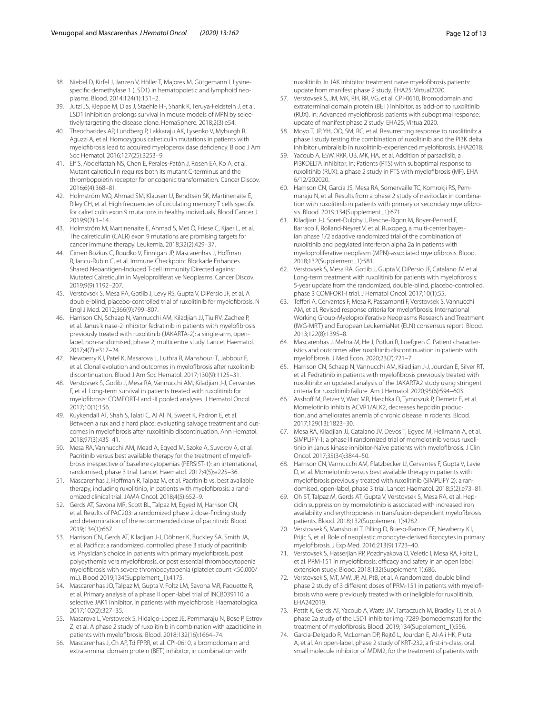- <span id="page-11-0"></span>38. Niebel D, Kirfel J, Janzen V, Höller T, Majores M, Gütgemann I. Lysinespecifc demethylase 1 (LSD1) in hematopoietic and lymphoid neoplasms. Blood. 2014;124(1):151–2.
- <span id="page-11-1"></span>39. Jutzi JS, Kleppe M, Dias J, Staehle HF, Shank K, Teruya-Feldstein J, et al. LSD1 inhibition prolongs survival in mouse models of MPN by selectively targeting the disease clone. HemaSphere. 2018;2(3):e54.
- <span id="page-11-2"></span>40. Theocharides AP, Lundberg P, Lakkaraju AK, Lysenko V, Myburgh R, Aguzzi A, et al. Homozygous calreticulin mutations in patients with myelofbrosis lead to acquired myeloperoxidase defciency. Blood J Am Soc Hematol. 2016;127(25):3253–9.
- <span id="page-11-3"></span>41. Elf S, Abdelfattah NS, Chen E, Perales-Patón J, Rosen EA, Ko A, et al. Mutant calreticulin requires both its mutant C-terminus and the thrombopoietin receptor for oncogenic transformation. Cancer Discov. 2016;6(4):368–81.
- <span id="page-11-4"></span>42. Holmström MO, Ahmad SM, Klausen U, Bendtsen SK, Martinenaite E, Riley CH, et al. High frequencies of circulating memory T cells specifc for calreticulin exon 9 mutations in healthy individuals. Blood Cancer J. 2019;9(2):1–14.
- <span id="page-11-5"></span>43. Holmström M, Martinenaite E, Ahmad S, Met Ö, Friese C, Kjaer L, et al. The calreticulin (CALR) exon 9 mutations are promising targets for cancer immune therapy. Leukemia. 2018;32(2):429–37.
- <span id="page-11-6"></span>44. Cimen Bozkus C, Roudko V, Finnigan JP, Mascarenhas J, Hofman R, Iancu-Rubin C, et al. Immune Checkpoint Blockade Enhances Shared Neoantigen-Induced T-cell Immunity Directed against Mutated Calreticulin in Myeloproliferative Neoplasms. Cancer Discov. 2019;9(9):1192–207.
- <span id="page-11-7"></span>45. Verstovsek S, Mesa RA, Gotlib J, Levy RS, Gupta V, DiPersio JF, et al. A double-blind, placebo-controlled trial of ruxolitinib for myelofbrosis. N Engl J Med. 2012;366(9):799–807.
- <span id="page-11-8"></span>46. Harrison CN, Schaap N, Vannucchi AM, Kiladjian JJ, Tiu RV, Zachee P, et al. Janus kinase-2 inhibitor fedratinib in patients with myelofbrosis previously treated with ruxolitinib (JAKARTA-2): a single-arm, openlabel, non-randomised, phase 2, multicentre study. Lancet Haematol. 2017;4(7):e317–24.
- <span id="page-11-9"></span>47. Newberry KJ, Patel K, Masarova L, Luthra R, Manshouri T, Jabbour E, et al. Clonal evolution and outcomes in myelofbrosis after ruxolitinib discontinuation. Blood J Am Soc Hematol. 2017;130(9):1125–31.
- <span id="page-11-10"></span>48. Verstovsek S, Gotlib J, Mesa RA, Vannucchi AM, Kiladjian J-J, Cervantes F, et al. Long-term survival in patients treated with ruxolitinib for myelofbrosis: COMFORT-I and -II pooled analyses. J Hematol Oncol. 2017;10(1):156.
- <span id="page-11-11"></span>49. Kuykendall AT, Shah S, Talati C, Al Ali N, Sweet K, Padron E, et al. Between a rux and a hard place: evaluating salvage treatment and outcomes in myelofbrosis after ruxolitinib discontinuation. Ann Hematol. 2018;97(3):435–41.
- <span id="page-11-12"></span>50. Mesa RA, Vannucchi AM, Mead A, Egyed M, Szoke A, Suvorov A, et al. Pacritinib versus best available therapy for the treatment of myelofibrosis irrespective of baseline cytopenias (PERSIST-1): an international, randomised, phase 3 trial. Lancet Haematol. 2017;4(5):e225–36.
- <span id="page-11-13"></span>51. Mascarenhas J, Hoffman R, Talpaz M, et al. Pacritinib vs. best available therapy, including ruxolitinib, in patients with myelofbrosis: a randomized clinical trial. JAMA Oncol. 2018;4(5):652–9.
- <span id="page-11-14"></span>52. Gerds AT, Savona MR, Scott BL, Talpaz M, Egyed M, Harrison CN, et al. Results of PAC203: a randomized phase 2 dose-fnding study and determination of the recommended dose of pacritinib. Blood. 2019;134(1):667.
- <span id="page-11-15"></span>53. Harrison CN, Gerds AT, Kiladjian J-J, Döhner K, Buckley SA, Smith JA, et al. Pacifca: a randomized, controlled phase 3 study of pacritinib vs. Physician's choice in patients with primary myelofbrosis, post polycythemia vera myelofbrosis, or post essential thrombocytopenia myelofbrosis with severe thrombocytopenia (platelet count <50,000/ mL). Blood 2019;134(Supplement\_1):4175.
- <span id="page-11-16"></span>54. Mascarenhas JO, Talpaz M, Gupta V, Foltz LM, Savona MR, Paquette R, et al. Primary analysis of a phase II open-label trial of INCB039110, a selective JAK1 inhibitor, in patients with myelofbrosis. Haematologica. 2017;102(2):327–35.
- <span id="page-11-17"></span>55. Masarova L, Verstovsek S, Hidalgo-Lopez JE, Pemmaraju N, Bose P, Estrov Z, et al. A phase 2 study of ruxolitinib in combination with azacitidine in patients with myelofbrosis. Blood. 2018;132(16):1664–74.
- <span id="page-11-18"></span>Mascarenhas J, Ch AP, Td FPRR, et al. CPI-0610, a bromodomain and extraterminal domain protein (BET) inhibitor, in combination with

ruxolitinib. In JAK inhibitor treatment naïve myelofbrosis patients: update from manifest phase 2 study. EHA25; Virtual2020.

- <span id="page-11-19"></span>57. Verstovsek S, JM, MK, RH, RR, VG, et al. CPI-0610, Bromodomain and extraterminal domain protein (BET) inhibitor, as 'add-on' to ruxolitinib (RUX). In: Advanced myelofbrosis patients with suboptimal response: update of manifest phase 2 study. EHA25; Virtual2020.
- <span id="page-11-20"></span>58. Moyo T, JP, YH, OO, SM, RC, et al. Resurrecting response to ruxolitinib: a phase I study testing the combination of ruxolitinib and the PI3K delta inhibitor umbralisib in ruxolitinib-experienced myelofbrosis. EHA2018.
- <span id="page-11-21"></span>59. Yacoub A, ESW, RKR, UB, MK, HA, et al. Addition of parsaclisib, a PI3KDELTA inhibitor. In: Patients (PTS) with suboptimal response to ruxolitinib (RUX): a phase 2 study in PTS with myelofbrosis (MF). EHA 6/12/202020.
- <span id="page-11-22"></span>60. Harrison CN, Garcia JS, Mesa RA, Somervaille TC, Komrokji RS, Pemmaraju N, et al. Results from a phase 2 study of navitoclax in combination with ruxolitinib in patients with primary or secondary myelofbrosis. Blood. 2019;134(Supplement\_1):671.
- <span id="page-11-23"></span>61. Kiladjian J-J, Soret-Dulphy J, Resche-Rigon M, Boyer-Perrard F, Barraco F, Rolland-Neyret V, et al. Ruxopeg, a multi-center bayesian phase 1/2 adaptive randomized trial of the combination of ruxolitinib and pegylated interferon alpha 2a in patients with myeloproliferative neoplasm (MPN)-associated myelofbrosis. Blood. 2018;132(Supplement\_1):581.
- <span id="page-11-24"></span>62. Verstovsek S, Mesa RA, Gotlib J, Gupta V, DiPersio JF, Catalano JV, et al. Long-term treatment with ruxolitinib for patients with myelofbrosis: 5-year update from the randomized, double-blind, placebo-controlled, phase 3 COMFORT-I trial. J Hematol Oncol. 2017;10(1):55.
- <span id="page-11-25"></span>63. Teferi A, Cervantes F, Mesa R, Passamonti F, Verstovsek S, Vannucchi AM, et al. Revised response criteria for myelofbrosis: International Working Group-Myeloproliferative Neoplasms Research and Treatment (IWG-MRT) and European LeukemiaNet (ELN) consensus report. Blood. 2013;122(8):1395–8.
- <span id="page-11-26"></span>64. Mascarenhas J, Mehra M, He J, Potluri R, Loefgren C. Patient characteristics and outcomes after ruxolitinib discontinuation in patients with myelofbrosis. J Med Econ. 2020;23(7):721–7.
- <span id="page-11-35"></span>65. Harrison CN, Schaap N, Vannucchi AM, Kiladjian J-J, Jourdan E, Silver RT, et al. Fedratinib in patients with myelofbrosis previously treated with ruxolitinib: an updated analysis of the JAKARTA2 study using stringent criteria for ruxolitinib failure. Am J Hematol. 2020;95(6):594–603.
- <span id="page-11-27"></span>66. Asshoff M, Petzer V, Warr MR, Haschka D, Tymoszuk P, Demetz E, et al. Momelotinib inhibits ACVR1/ALK2, decreases hepcidin production, and ameliorates anemia of chronic disease in rodents. Blood. 2017;129(13):1823–30.
- <span id="page-11-28"></span>67. Mesa RA, Kiladjian JJ, Catalano JV, Devos T, Egyed M, Hellmann A, et al. SIMPLIFY-1: a phase III randomized trial of momelotinib versus ruxolitinib in Janus kinase inhibitor-Naïve patients with myelofbrosis. J Clin Oncol. 2017;35(34):3844–50.
- <span id="page-11-29"></span>68. Harrison CN, Vannucchi AM, Platzbecker U, Cervantes F, Gupta V, Lavie D, et al. Momelotinib versus best available therapy in patients with myelofbrosis previously treated with ruxolitinib (SIMPLIFY 2): a randomised, open-label, phase 3 trial. Lancet Haematol. 2018;5(2):e73–81.
- <span id="page-11-30"></span>69. Oh ST, Talpaz M, Gerds AT, Gupta V, Verstovsek S, Mesa RA, et al. Hepcidin suppression by momelotinib is associated with increased iron availability and erythropoiesis in transfusion-dependent myelofbrosis patients. Blood. 2018;132(Supplement 1):4282.
- <span id="page-11-31"></span>70. Verstovsek S, Manshouri T, Pilling D, Bueso-Ramos CE, Newberry KJ, Prijic S, et al. Role of neoplastic monocyte-derived fbrocytes in primary myelofbrosis. J Exp Med. 2016;213(9):1723–40.
- <span id="page-11-32"></span>71. Verstovsek S, Hasserjian RP, Pozdnyakova O, Veletic I, Mesa RA, Foltz L, et al. PRM-151 in myelofibrosis: efficacy and safety in an open label extension study. Blood. 2018;132(Supplement 1):686.
- <span id="page-11-33"></span>72. Verstovsek S, MT, MW, JP, AI, PtB, et al. A randomized, double blind phase 2 study of 3 diferent doses of PRM-151 in patients with myelofbrosis who were previously treated with or ineligible for ruxolitinib. EHA242019.
- <span id="page-11-34"></span>73. Pettit K, Gerds AT, Yacoub A, Watts JM, Tartaczuch M, Bradley TJ, et al. A phase 2a study of the LSD1 inhibitor img-7289 (bomedemstat) for the treatment of myelofbrosis. Blood. 2019;134(Supplement\_1):556.
- <span id="page-11-36"></span>74. Garcia-Delgado R, McLornan DP, Rejtő L, Jourdan E, Al-Ali HK, Pluta A, et al. An open-label, phase 2 study of KRT-232, a frst-in-class, oral small molecule inhibitor of MDM2, for the treatment of patients with